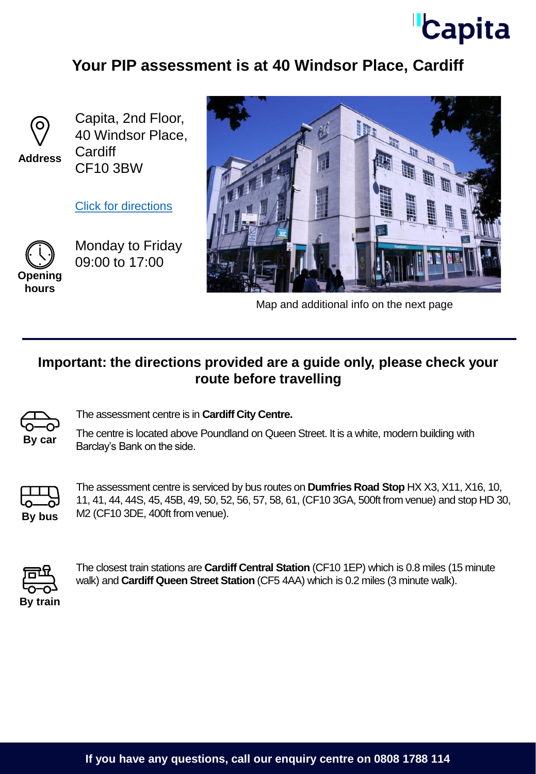

## **Your PIP assessment is at 40 Windsor Place, Cardiff**



**Address**

Capita, 2nd Floor, 40 Windsor Place, **Cardiff** CF10 3BW

[Click for directions](https://goo.gl/maps/NW9wB5pxZVhFRWQ17)



Monday to Friday 09:00 to 17:00

**hours**



Map and additional info on the next page

## **Important: the directions provided are a guide only, please check your route before travelling**



The assessment centre is in **Cardiff City Centre.** 

The centre is located above Poundland on Queen Street. It is a white, modern building with By car **Barclay's Bank on the side.** 



The assessment centre is serviced by bus routes on **Dumfries Road Stop** HX X3, X11, X16, 10, 11, 41, 44, 44S, 45, 45B, 49, 50, 52, 56, 57, 58, 61, (CF10 3GA, 500ft from venue) and stop HD 30, **By bus** M2 (CF10 3DE, 400ft from venue).



The closest train stations are **Cardiff Central Station** (CF10 1EP) which is 0.8 miles (15 minute walk) and **Cardiff Queen Street Station** (CF5 4AA) which is 0.2 miles (3 minute walk).